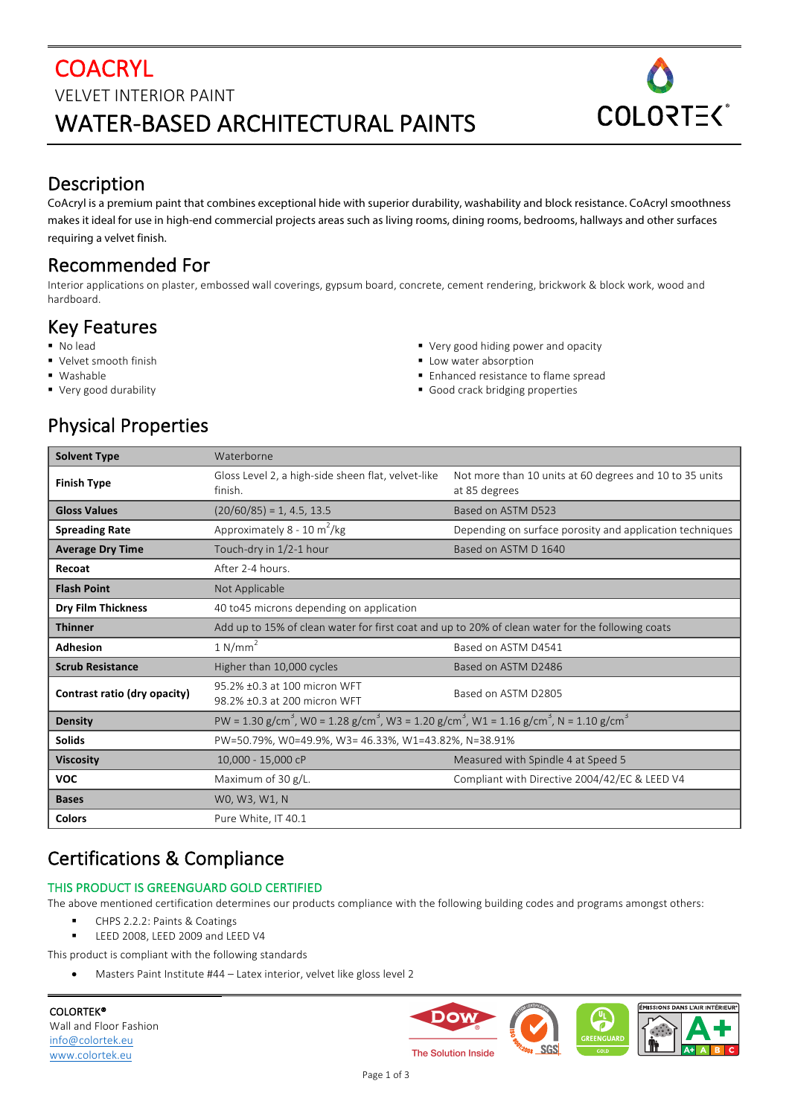## **COACRYL** VELVET INTERIOR PAINT WATER-BASED ARCHITECTURAL PAINTS



#### Description

CoAcryl is a premium paint that combines exceptional hide with superior durability, washability and block resistance. CoAcryl smoothness makes it ideal for use in high-end commercial projects areas such as living rooms, dining rooms, bedrooms, hallways and other surfaces requiring a velvet finish.

## Recommended For

Interior applications on plaster, embossed wall coverings, gypsum board, concrete, cement rendering, brickwork & block work, wood and hardboard.

## Key Features

- § No lead
- Velvet smooth finish
- § Washable
- Very good durability
- Very good hiding power and opacity
- Low water absorption
- Enhanced resistance to flame spread
- Good crack bridging properties

# **Physical Properties**

| <b>Solvent Type</b>          | Waterborne                                                                                                                                         |                                                                          |  |  |  |
|------------------------------|----------------------------------------------------------------------------------------------------------------------------------------------------|--------------------------------------------------------------------------|--|--|--|
| <b>Finish Type</b>           | Gloss Level 2, a high-side sheen flat, velvet-like<br>finish.                                                                                      | Not more than 10 units at 60 degrees and 10 to 35 units<br>at 85 degrees |  |  |  |
| <b>Gloss Values</b>          | $(20/60/85) = 1, 4.5, 13.5$                                                                                                                        | Based on ASTM D523                                                       |  |  |  |
| <b>Spreading Rate</b>        | Approximately 8 - 10 m <sup>2</sup> /kg<br>Depending on surface porosity and application techniques                                                |                                                                          |  |  |  |
| <b>Average Dry Time</b>      | Touch-dry in 1/2-1 hour                                                                                                                            | Based on ASTM D 1640                                                     |  |  |  |
| Recoat                       | After 2-4 hours.                                                                                                                                   |                                                                          |  |  |  |
| <b>Flash Point</b>           | Not Applicable                                                                                                                                     |                                                                          |  |  |  |
| <b>Dry Film Thickness</b>    | 40 to 45 microns depending on application                                                                                                          |                                                                          |  |  |  |
| <b>Thinner</b>               | Add up to 15% of clean water for first coat and up to 20% of clean water for the following coats                                                   |                                                                          |  |  |  |
| Adhesion                     | 1 N/mm <sup>2</sup><br>Based on ASTM D4541                                                                                                         |                                                                          |  |  |  |
| <b>Scrub Resistance</b>      | Higher than 10,000 cycles                                                                                                                          | Based on ASTM D2486                                                      |  |  |  |
| Contrast ratio (dry opacity) | 95.2% ±0.3 at 100 micron WFT<br>98.2% ±0.3 at 200 micron WFT                                                                                       | Based on ASTM D2805                                                      |  |  |  |
| <b>Density</b>               | PW = 1.30 g/cm <sup>3</sup> , W0 = 1.28 g/cm <sup>3</sup> , W3 = 1.20 g/cm <sup>3</sup> , W1 = 1.16 g/cm <sup>3</sup> , N = 1.10 g/cm <sup>3</sup> |                                                                          |  |  |  |
| <b>Solids</b>                | PW=50.79%, W0=49.9%, W3= 46.33%, W1=43.82%, N=38.91%                                                                                               |                                                                          |  |  |  |
| <b>Viscosity</b>             | 10,000 - 15,000 cP                                                                                                                                 | Measured with Spindle 4 at Speed 5                                       |  |  |  |
| <b>VOC</b>                   | Maximum of 30 g/L.                                                                                                                                 | Compliant with Directive 2004/42/EC & LEED V4                            |  |  |  |
| <b>Bases</b>                 | WO, W3, W1, N                                                                                                                                      |                                                                          |  |  |  |
| <b>Colors</b>                | Pure White, IT 40.1                                                                                                                                |                                                                          |  |  |  |

# Certifications & Compliance

#### THIS PRODUCT IS GREENGUARD GOLD CERTIFIED

The above mentioned certification determines our products compliance with the following building codes and programs amongst others:

- CHPS 2.2.2: Paints & Coatings
- LEED 2008, LEED 2009 and LEED V4

This product is compliant with the following standards

• Masters Paint Institute #44 – Latex interior, velvet like gloss level 2

COLORTEK® Wall and Floor Fashion info@colortek.eu www.colortek.eu

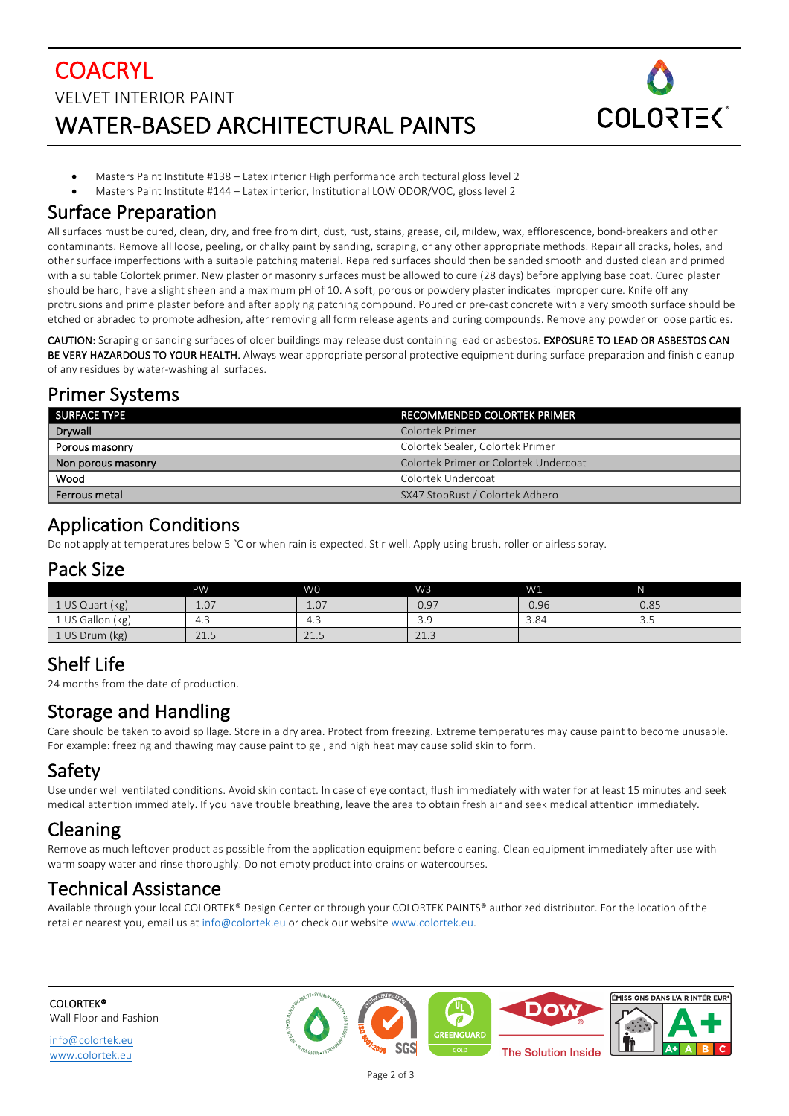# **COACRYL** VELVET INTERIOR PAINT WATER-BASED ARCHITECTURAL PAINTS



- Masters Paint Institute #138 Latex interior High performance architectural gloss level 2
- Masters Paint Institute #144 Latex interior, Institutional LOW ODOR/VOC, gloss level 2

#### Surface Preparation

All surfaces must be cured, clean, dry, and free from dirt, dust, rust, stains, grease, oil, mildew, wax, efflorescence, bond-breakers and other contaminants. Remove all loose, peeling, or chalky paint by sanding, scraping, or any other appropriate methods. Repair all cracks, holes, and other surface imperfections with a suitable patching material. Repaired surfaces should then be sanded smooth and dusted clean and primed with a suitable Colortek primer. New plaster or masonry surfaces must be allowed to cure (28 days) before applying base coat. Cured plaster should be hard, have a slight sheen and a maximum pH of 10. A soft, porous or powdery plaster indicates improper cure. Knife off any protrusions and prime plaster before and after applying patching compound. Poured or pre-cast concrete with a very smooth surface should be etched or abraded to promote adhesion, after removing all form release agents and curing compounds. Remove any powder or loose particles.

CAUTION: Scraping or sanding surfaces of older buildings may release dust containing lead or asbestos. EXPOSURE TO LEAD OR ASBESTOS CAN BE VERY HAZARDOUS TO YOUR HEALTH. Always wear appropriate personal protective equipment during surface preparation and finish cleanup of any residues by water-washing all surfaces.

#### Primer Systems

| l SURFACE TYPE     | RECOMMENDED COLORTEK PRIMER           |
|--------------------|---------------------------------------|
| Drywall            | Colortek Primer                       |
| Porous masonry     | Colortek Sealer, Colortek Primer      |
| Non porous masonry | Colortek Primer or Colortek Undercoat |
| Wood               | Colortek Undercoat                    |
| Ferrous metal      | SX47 StopRust / Colortek Adhero       |

## Application Conditions

Do not apply at temperatures below 5 °C or when rain is expected. Stir well. Apply using brush, roller or airless spray.

#### Pack Size

|                  | PW                 | W <sub>0</sub> | W <sub>3</sub> | W1   | N                   |
|------------------|--------------------|----------------|----------------|------|---------------------|
| 1 US Quart (kg)  | 1.07               | 1.07           | 0.97           | 0.96 | 0.85                |
| 1 US Gallon (kg) | $\sim$<br>4.5      | $\sim$<br>4.3  | 3.9            | 3.84 | $\mathbf{r}$<br>ر.ر |
| 1 US Drum (kg)   | 21E<br><u>zi.j</u> | 21.5           | 212<br>21.5    |      |                     |

## Shelf Life

24 months from the date of production.

## Storage and Handling

Care should be taken to avoid spillage. Store in a dry area. Protect from freezing. Extreme temperatures may cause paint to become unusable. For example: freezing and thawing may cause paint to gel, and high heat may cause solid skin to form.

## Safety

Use under well ventilated conditions. Avoid skin contact. In case of eye contact, flush immediately with water for at least 15 minutes and seek medical attention immediately. If you have trouble breathing, leave the area to obtain fresh air and seek medical attention immediately.

## Cleaning

Remove as much leftover product as possible from the application equipment before cleaning. Clean equipment immediately after use with warm soapy water and rinse thoroughly. Do not empty product into drains or watercourses.

## Technical Assistance

Available through your local COLORTEK® Design Center or through your COLORTEK PAINTS® authorized distributor. For the location of the retailer nearest you, email us at info@colortek.eu or check our website www.colortek.eu.

COLORTEK® Wall Floor and Fashion

info@colortek.eu www.colortek.eu